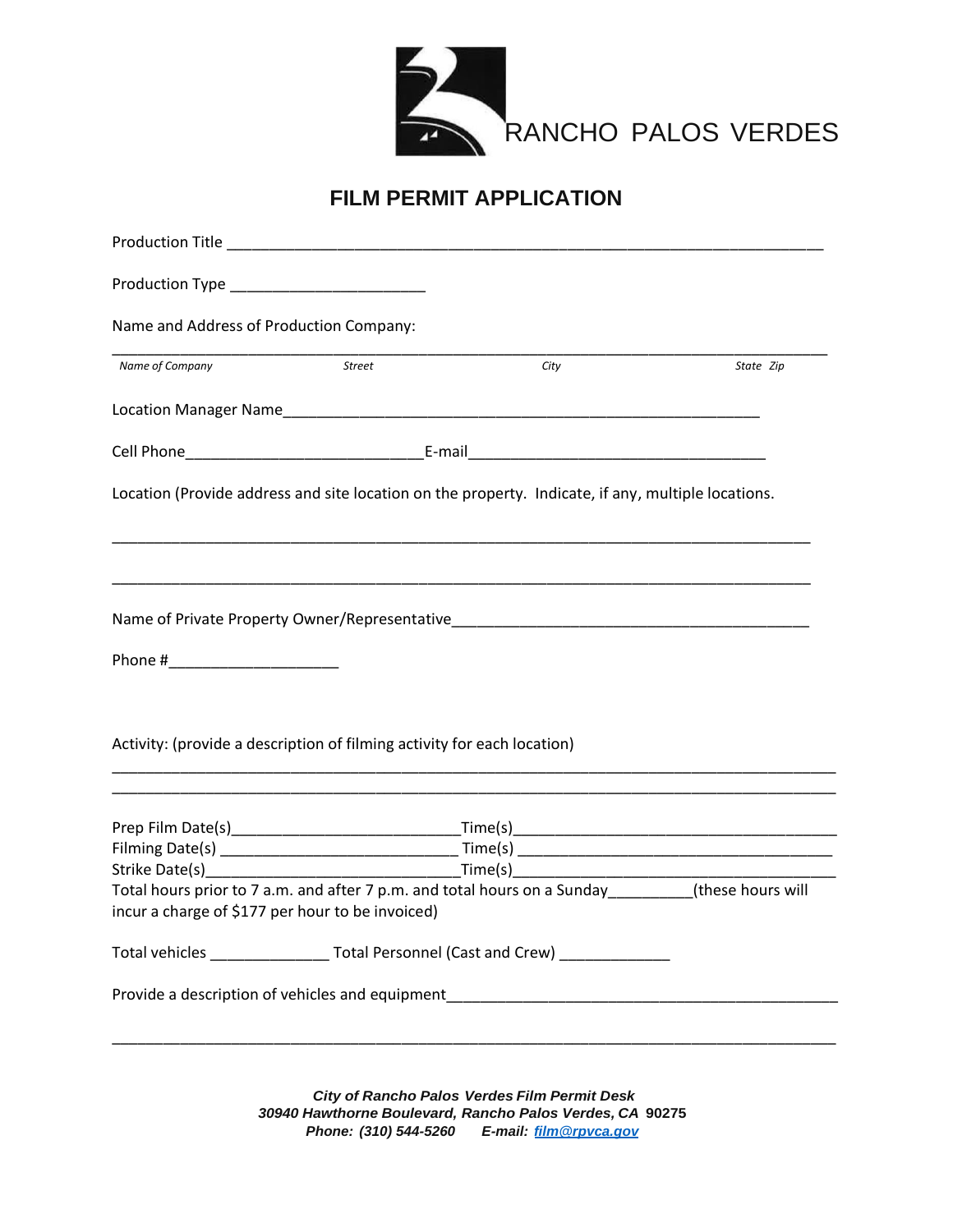

### **FILM PERMIT APPLICATION**

| Name and Address of Production Company:          |                                                                         |                                                                                                    |           |  |  |  |  |
|--------------------------------------------------|-------------------------------------------------------------------------|----------------------------------------------------------------------------------------------------|-----------|--|--|--|--|
| Name of Company                                  | <b>Street</b>                                                           | City                                                                                               | State Zip |  |  |  |  |
|                                                  |                                                                         |                                                                                                    |           |  |  |  |  |
|                                                  |                                                                         |                                                                                                    |           |  |  |  |  |
|                                                  |                                                                         | Location (Provide address and site location on the property. Indicate, if any, multiple locations. |           |  |  |  |  |
|                                                  |                                                                         |                                                                                                    |           |  |  |  |  |
|                                                  |                                                                         | Name of Private Property Owner/Representative Name of Private Property Owner/Representative        |           |  |  |  |  |
|                                                  |                                                                         |                                                                                                    |           |  |  |  |  |
|                                                  | Activity: (provide a description of filming activity for each location) |                                                                                                    |           |  |  |  |  |
|                                                  |                                                                         |                                                                                                    |           |  |  |  |  |
|                                                  |                                                                         |                                                                                                    |           |  |  |  |  |
|                                                  |                                                                         |                                                                                                    |           |  |  |  |  |
| incur a charge of \$177 per hour to be invoiced) |                                                                         | Total hours prior to 7 a.m. and after 7 p.m. and total hours on a Sunday________(these hours will  |           |  |  |  |  |
|                                                  |                                                                         | Total vehicles _______________________Total Personnel (Cast and Crew) ________________             |           |  |  |  |  |
|                                                  |                                                                         | Provide a description of vehicles and equipment_________________________________                   |           |  |  |  |  |
|                                                  |                                                                         |                                                                                                    |           |  |  |  |  |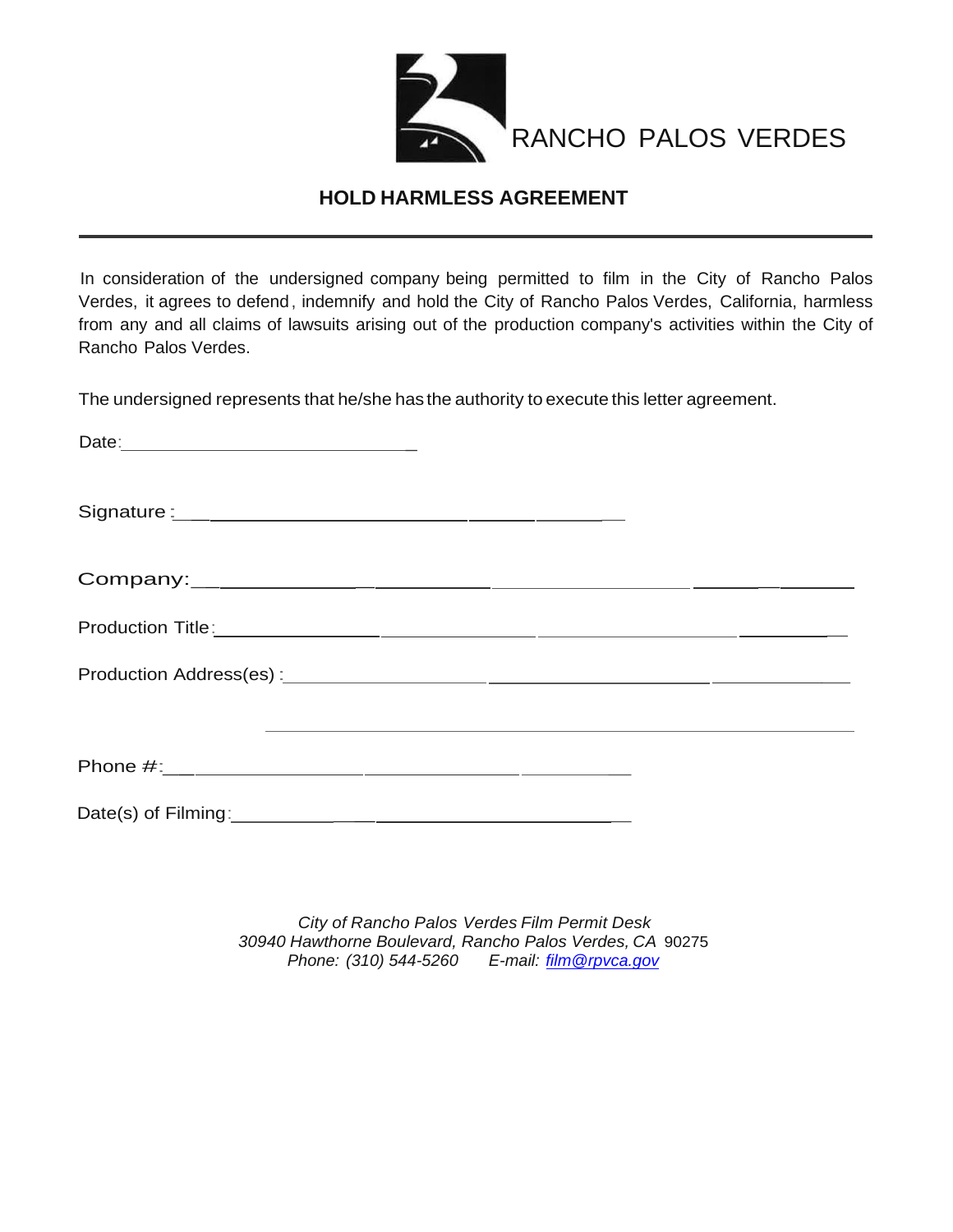

#### **HOLD HARMLESS AGREEMENT**

In consideration of the undersigned company being permitted to film in the City of Rancho Palos Verdes, it agrees to defend, indemnify and hold the City of Rancho Palos Verdes, California, harmless from any and all claims of lawsuits arising out of the production company's activities within the City of Rancho Palos Verdes.

The undersigned represents that he/she has the authority to execute this letter agreement.

| <u> 1990 - Jan James Sand, Amerikaans en de Sandy en de Sandy en de Sandy en de Sandy en de Sandy en de Sandy en</u> |  |  |  |
|----------------------------------------------------------------------------------------------------------------------|--|--|--|
|                                                                                                                      |  |  |  |
|                                                                                                                      |  |  |  |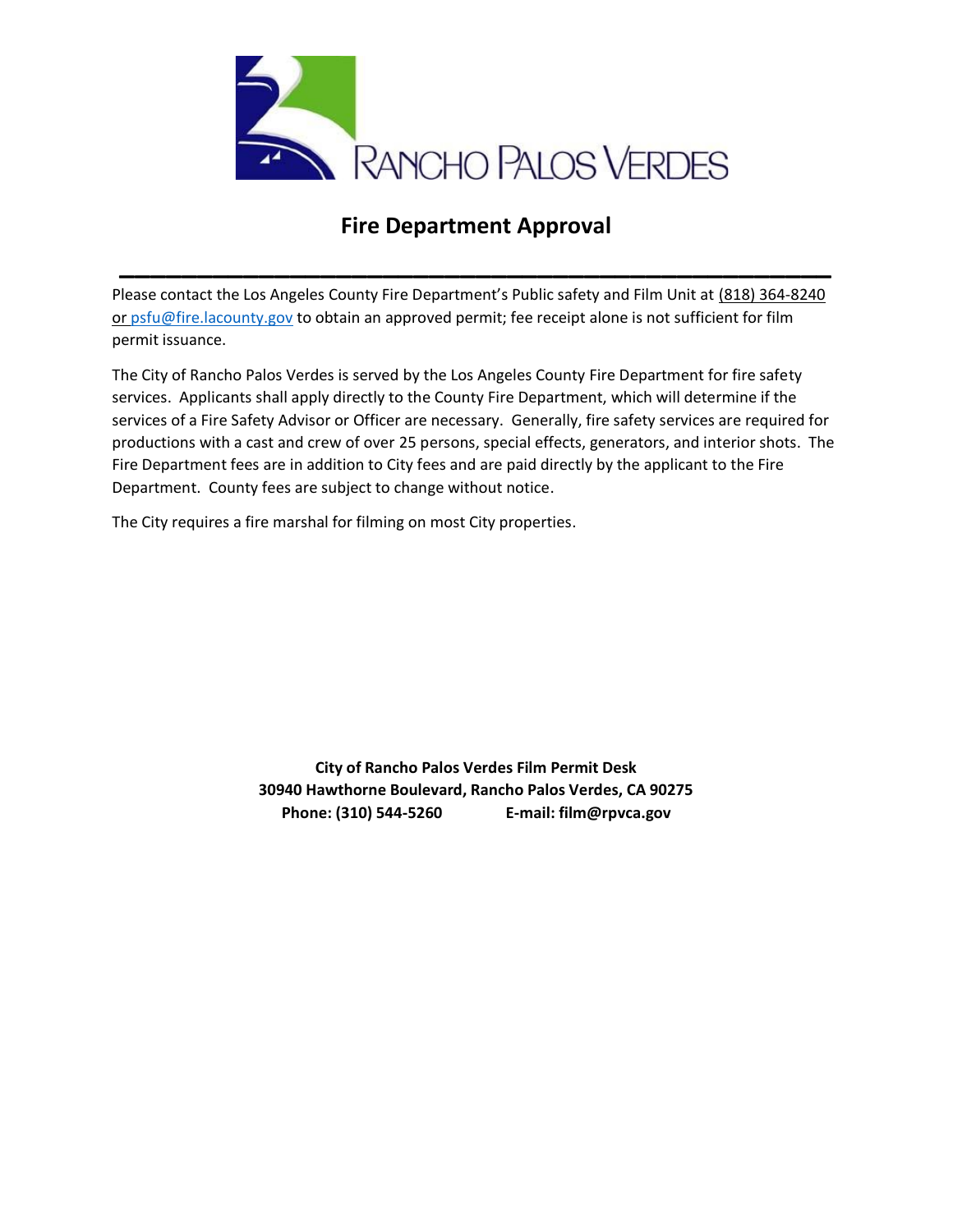

# **Fire Department Approval**

**\_\_\_\_\_\_\_\_\_\_\_\_\_\_\_\_\_\_\_\_\_\_\_\_\_\_\_\_\_\_\_\_\_\_\_\_\_\_\_\_\_\_\_\_\_\_**

Please contact the Los Angeles County Fire Department's Public safety and Film Unit at (818) 364-8240 or [psfu@fire.lacounty.gov](mailto:psfu@fire.lacounty.gov) to obtain an approved permit; fee receipt alone is not sufficient for film permit issuance.

The City of Rancho Palos Verdes is served by the Los Angeles County Fire Department for fire safety services. Applicants shall apply directly to the County Fire Department, which will determine if the services of a Fire Safety Advisor or Officer are necessary. Generally, fire safety services are required for productions with a cast and crew of over 25 persons, special effects, generators, and interior shots. The Fire Department fees are in addition to City fees and are paid directly by the applicant to the Fire Department. County fees are subject to change without notice.

The City requires a fire marshal for filming on most City properties.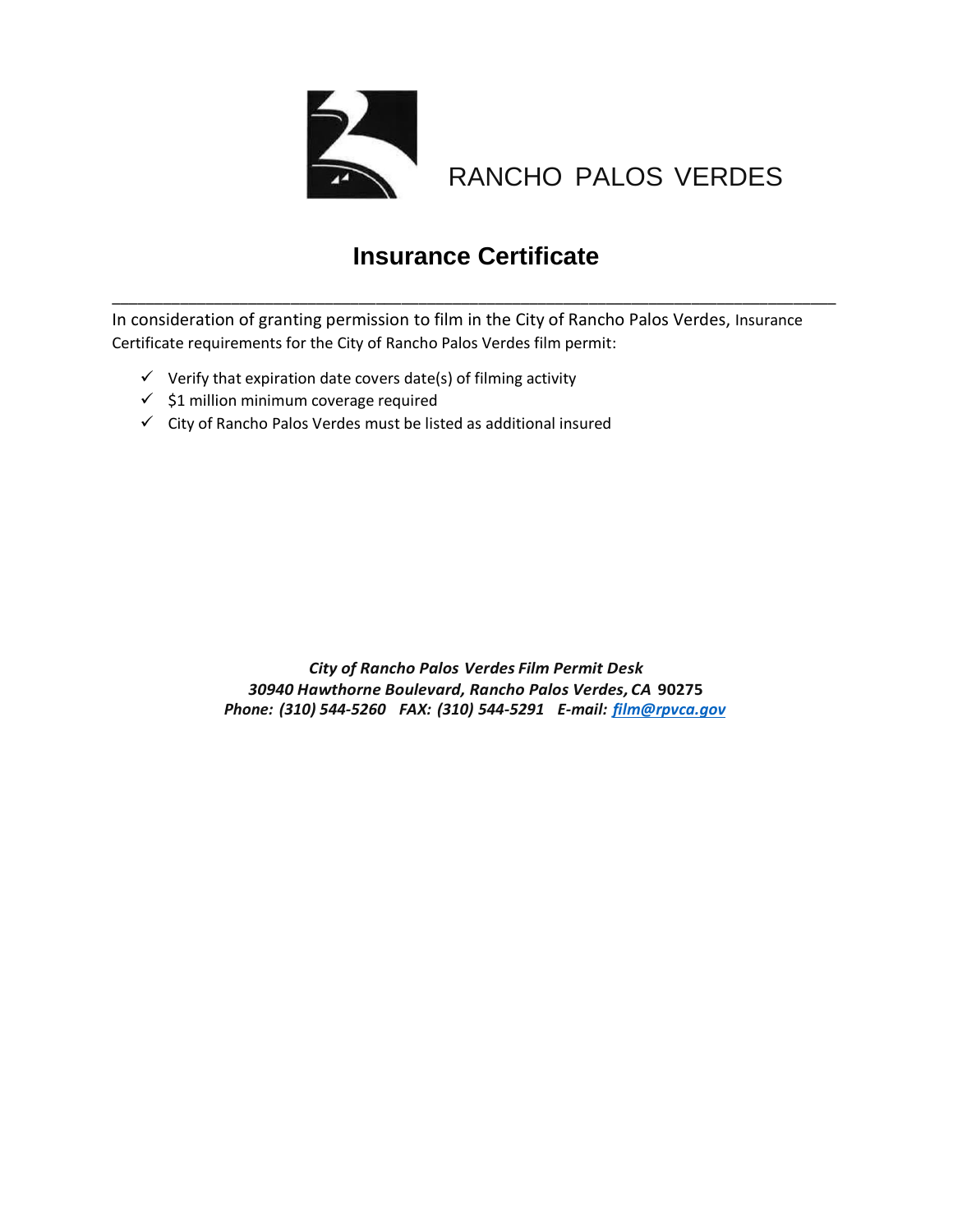

RANCHO PALOS VERDES

# **Insurance Certificate**

\_\_\_\_\_\_\_\_\_\_\_\_\_\_\_\_\_\_\_\_\_\_\_\_\_\_\_\_\_\_\_\_\_\_\_\_\_\_\_\_\_\_\_\_\_\_\_\_\_\_\_\_\_\_\_\_\_\_\_\_\_\_\_\_\_\_\_\_\_\_\_\_\_\_\_\_\_\_\_\_\_\_\_\_\_

In consideration of granting permission to film in the City of Rancho Palos Verdes, Insurance Certificate requirements for the City of Rancho Palos Verdes film permit:

- $\checkmark$  Verify that expiration date covers date(s) of filming activity
- $\checkmark$  \$1 million minimum coverage required
- ✓ City of Rancho Palos Verdes must be listed as additional insured